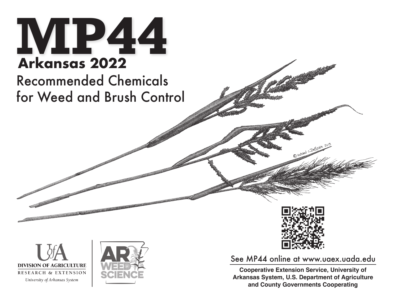

## Recommended Chemicals for Weed and Brush Control







See MP44 online at www.uaex.uada.edu

**Cooperative Extension Service, University of Arkansas System, U.S. Department of Agriculture and County Governments Cooperating**